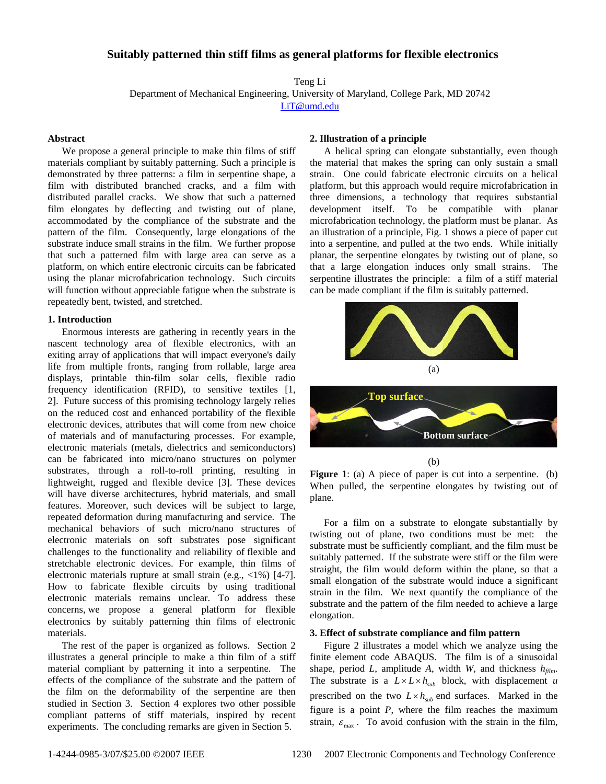# **Suitably patterned thin stiff films as general platforms for flexible electronics**

Teng Li Department of Mechanical Engineering, University of Maryland, College Park, MD 20742 LiT@umd.edu

# **Abstract**

We propose a general principle to make thin films of stiff materials compliant by suitably patterning. Such a principle is demonstrated by three patterns: a film in serpentine shape, a film with distributed branched cracks, and a film with distributed parallel cracks. We show that such a patterned film elongates by deflecting and twisting out of plane, accommodated by the compliance of the substrate and the pattern of the film. Consequently, large elongations of the substrate induce small strains in the film. We further propose that such a patterned film with large area can serve as a platform, on which entire electronic circuits can be fabricated using the planar microfabrication technology. Such circuits will function without appreciable fatigue when the substrate is repeatedly bent, twisted, and stretched.

## **1. Introduction**

Enormous interests are gathering in recently years in the nascent technology area of flexible electronics, with an exiting array of applications that will impact everyone's daily life from multiple fronts, ranging from rollable, large area displays, printable thin-film solar cells, flexible radio frequency identification (RFID), to sensitive textiles [1, 2]. Future success of this promising technology largely relies on the reduced cost and enhanced portability of the flexible electronic devices, attributes that will come from new choice of materials and of manufacturing processes. For example, electronic materials (metals, dielectrics and semiconductors) can be fabricated into micro/nano structures on polymer substrates, through a roll-to-roll printing, resulting in lightweight, rugged and flexible device [3]. These devices will have diverse architectures, hybrid materials, and small features. Moreover, such devices will be subject to large, repeated deformation during manufacturing and service. The mechanical behaviors of such micro/nano structures of electronic materials on soft substrates pose significant challenges to the functionality and reliability of flexible and stretchable electronic devices. For example, thin films of electronic materials rupture at small strain (e.g., <1%) [4-7]. How to fabricate flexible circuits by using traditional electronic materials remains unclear. To address these concerns, we propose a general platform for flexible electronics by suitably patterning thin films of electronic materials.

The rest of the paper is organized as follows. Section 2 illustrates a general principle to make a thin film of a stiff material compliant by patterning it into a serpentine. The effects of the compliance of the substrate and the pattern of the film on the deformability of the serpentine are then studied in Section 3. Section 4 explores two other possible compliant patterns of stiff materials, inspired by recent experiments. The concluding remarks are given in Section 5.

# **2. Illustration of a principle**

A helical spring can elongate substantially, even though the material that makes the spring can only sustain a small strain. One could fabricate electronic circuits on a helical platform, but this approach would require microfabrication in three dimensions, a technology that requires substantial development itself. To be compatible with planar microfabrication technology, the platform must be planar. As an illustration of a principle, Fig. 1 shows a piece of paper cut into a serpentine, and pulled at the two ends. While initially planar, the serpentine elongates by twisting out of plane, so that a large elongation induces only small strains. The serpentine illustrates the principle: a film of a stiff material can be made compliant if the film is suitably patterned.



(b)

**Figure 1**: (a) A piece of paper is cut into a serpentine. (b) When pulled, the serpentine elongates by twisting out of plane.

For a film on a substrate to elongate substantially by twisting out of plane, two conditions must be met: the substrate must be sufficiently compliant, and the film must be suitably patterned. If the substrate were stiff or the film were straight, the film would deform within the plane, so that a small elongation of the substrate would induce a significant strain in the film. We next quantify the compliance of the substrate and the pattern of the film needed to achieve a large elongation.

# **3. Effect of substrate compliance and film pattern**

Figure 2 illustrates a model which we analyze using the finite element code ABAQUS. The film is of a sinusoidal shape, period *L*, amplitude *A*, width *W*, and thickness  $h_{film}$ . The substrate is a  $L \times L \times h_{sub}$  block, with displacement *u* prescribed on the two  $L \times h_{sub}$  end surfaces. Marked in the figure is a point *P*, where the film reaches the maximum strain,  $\varepsilon_{\text{max}}$ . To avoid confusion with the strain in the film,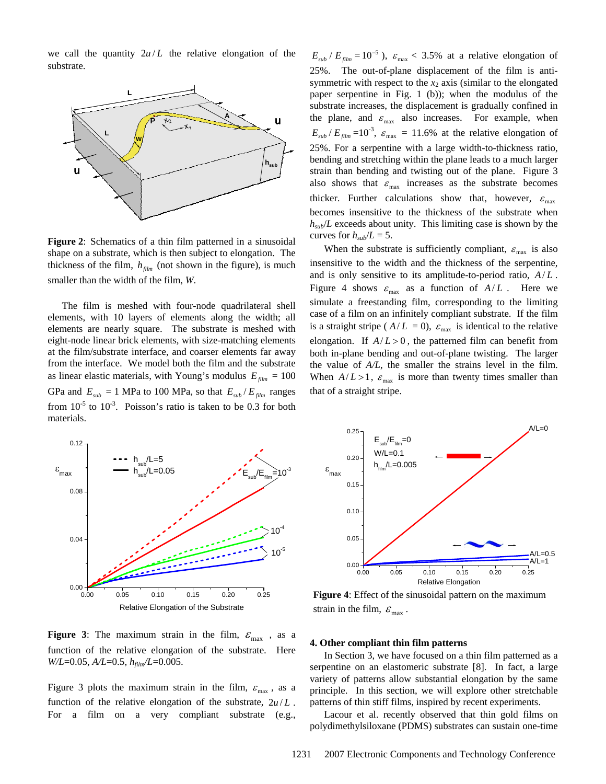we call the quantity  $2u/L$  the relative elongation of the substrate.



**Figure 2**: Schematics of a thin film patterned in a sinusoidal shape on a substrate, which is then subject to elongation. The thickness of the film,  $h_{film}$  (not shown in the figure), is much smaller than the width of the film, *W*.

The film is meshed with four-node quadrilateral shell elements, with 10 layers of elements along the width; all elements are nearly square. The substrate is meshed with eight-node linear brick elements, with size-matching elements at the film/substrate interface, and coarser elements far away from the interface. We model both the film and the substrate as linear elastic materials, with Young's modulus  $E_{film} = 100$ GPa and  $E_{sub} = 1$  MPa to 100 MPa, so that  $E_{sub}/E_{film}$  ranges from  $10^{-5}$  to  $10^{-3}$ . Poisson's ratio is taken to be 0.3 for both materials.



**Figure 3**: The maximum strain in the film,  $\varepsilon_{\text{max}}$ , as a function of the relative elongation of the substrate. Here *W*/*L*=0.05, *A*/*L*=0.5, *h*<sub>film</sub>/*L*=0.005.

Figure 3 plots the maximum strain in the film,  $\varepsilon_{\text{max}}$ , as a function of the relative elongation of the substrate,  $2u/L$ . For a film on a very compliant substrate (e.g.,

 $E_{sub}$  /  $E_{film} = 10^{-5}$  ),  $\varepsilon_{max}$  < 3.5% at a relative elongation of 25%. The out-of-plane displacement of the film is antisymmetric with respect to the  $x_2$  axis (similar to the elongated paper serpentine in Fig. 1 (b)); when the modulus of the substrate increases, the displacement is gradually confined in the plane, and  $\varepsilon_{\text{max}}$  also increases. For example, when  $E_{sub}/E_{film} = 10^{-3}$ ,  $\varepsilon_{max} = 11.6\%$  at the relative elongation of 25%. For a serpentine with a large width-to-thickness ratio, bending and stretching within the plane leads to a much larger strain than bending and twisting out of the plane. Figure 3 also shows that  $\varepsilon_{\text{max}}$  increases as the substrate becomes thicker. Further calculations show that, however,  $\varepsilon_{\text{max}}$ becomes insensitive to the thickness of the substrate when  $h_{sub}/L$  exceeds about unity. This limiting case is shown by the curves for  $h_{sub}/L = 5$ .

When the substrate is sufficiently compliant,  $\varepsilon_{\text{max}}$  is also insensitive to the width and the thickness of the serpentine, and is only sensitive to its amplitude-to-period ratio, *A*/ *L* . Figure 4 shows  $\varepsilon_{\text{max}}$  as a function of  $A/L$ . Here we simulate a freestanding film, corresponding to the limiting case of a film on an infinitely compliant substrate. If the film is a straight stripe ( $A/L = 0$ ),  $\varepsilon_{\text{max}}$  is identical to the relative elongation. If  $A/L > 0$ , the patterned film can benefit from both in-plane bending and out-of-plane twisting. The larger the value of *A/L*, the smaller the strains level in the film. When  $A/L > 1$ ,  $\varepsilon_{\text{max}}$  is more than twenty times smaller than that of a straight stripe.



**Figure 4**: Effect of the sinusoidal pattern on the maximum strain in the film,  $\varepsilon_{\text{max}}$ .

#### **4. Other compliant thin film patterns**

In Section 3, we have focused on a thin film patterned as a serpentine on an elastomeric substrate [8]. In fact, a large variety of patterns allow substantial elongation by the same principle. In this section, we will explore other stretchable patterns of thin stiff films, inspired by recent experiments.

Lacour et al. recently observed that thin gold films on polydimethylsiloxane (PDMS) substrates can sustain one-time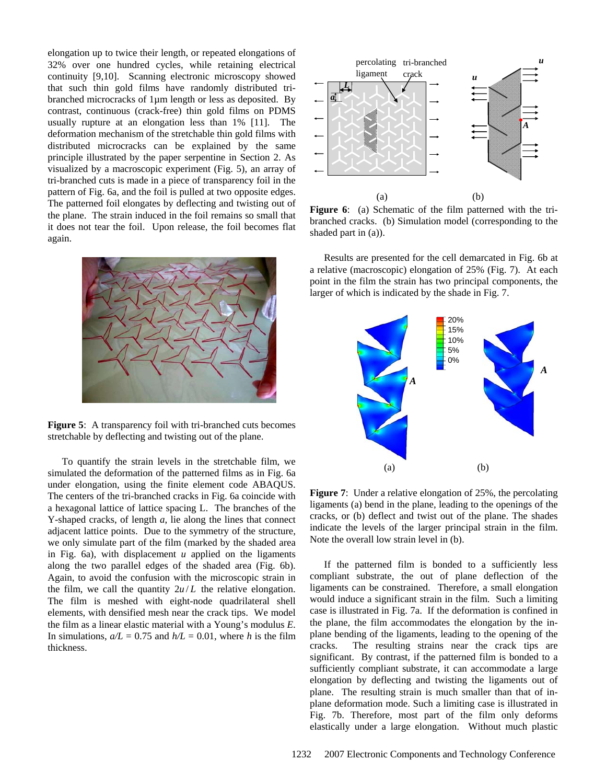elongation up to twice their length, or repeated elongations of 32% over one hundred cycles, while retaining electrical continuity [9,10]. Scanning electronic microscopy showed that such thin gold films have randomly distributed tribranched microcracks of 1µm length or less as deposited. By contrast, continuous (crack-free) thin gold films on PDMS usually rupture at an elongation less than 1% [11]. The deformation mechanism of the stretchable thin gold films with distributed microcracks can be explained by the same principle illustrated by the paper serpentine in Section 2. As visualized by a macroscopic experiment (Fig. 5), an array of tri-branched cuts is made in a piece of transparency foil in the pattern of Fig. 6a, and the foil is pulled at two opposite edges. The patterned foil elongates by deflecting and twisting out of the plane. The strain induced in the foil remains so small that it does not tear the foil. Upon release, the foil becomes flat again.



**Figure 5**: A transparency foil with tri-branched cuts becomes stretchable by deflecting and twisting out of the plane.

To quantify the strain levels in the stretchable film, we simulated the deformation of the patterned films as in Fig. 6a under elongation, using the finite element code ABAQUS. The centers of the tri-branched cracks in Fig. 6a coincide with a hexagonal lattice of lattice spacing L. The branches of the Y-shaped cracks, of length *a*, lie along the lines that connect adjacent lattice points. Due to the symmetry of the structure, we only simulate part of the film (marked by the shaded area in Fig. 6a), with displacement *u* applied on the ligaments along the two parallel edges of the shaded area (Fig. 6b). Again, to avoid the confusion with the microscopic strain in the film, we call the quantity  $2u/L$  the relative elongation. The film is meshed with eight-node quadrilateral shell elements, with densified mesh near the crack tips. We model the film as a linear elastic material with a Young's modulus *E*. In simulations,  $a/L = 0.75$  and  $h/L = 0.01$ , where *h* is the film thickness.



**Figure 6**: (a) Schematic of the film patterned with the tribranched cracks. (b) Simulation model (corresponding to the shaded part in (a)).

Results are presented for the cell demarcated in Fig. 6b at a relative (macroscopic) elongation of 25% (Fig. 7). At each point in the film the strain has two principal components, the larger of which is indicated by the shade in Fig. 7.



**Figure 7**: Under a relative elongation of 25%, the percolating ligaments (a) bend in the plane, leading to the openings of the cracks, or (b) deflect and twist out of the plane. The shades indicate the levels of the larger principal strain in the film. Note the overall low strain level in (b).

If the patterned film is bonded to a sufficiently less compliant substrate, the out of plane deflection of the ligaments can be constrained. Therefore, a small elongation would induce a significant strain in the film. Such a limiting case is illustrated in Fig. 7a. If the deformation is confined in the plane, the film accommodates the elongation by the inplane bending of the ligaments, leading to the opening of the cracks. The resulting strains near the crack tips are significant. By contrast, if the patterned film is bonded to a sufficiently compliant substrate, it can accommodate a large elongation by deflecting and twisting the ligaments out of plane. The resulting strain is much smaller than that of inplane deformation mode. Such a limiting case is illustrated in Fig. 7b. Therefore, most part of the film only deforms elastically under a large elongation. Without much plastic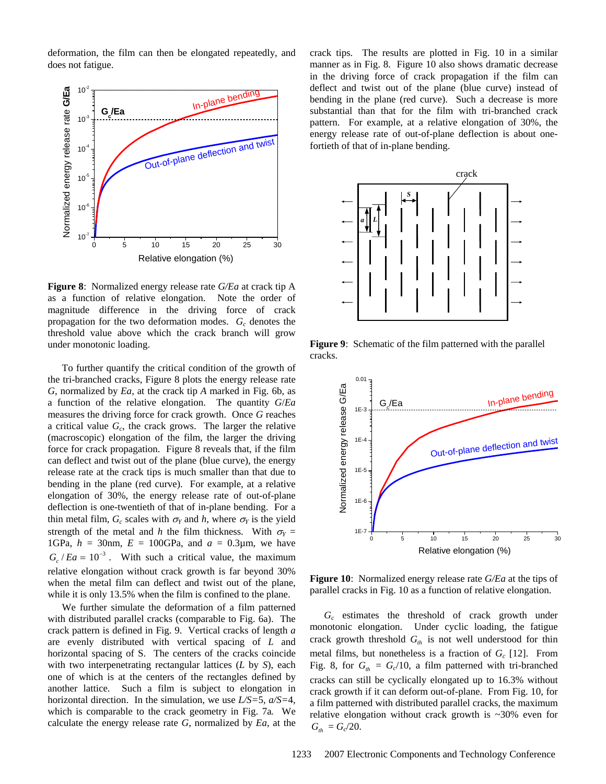deformation, the film can then be elongated repeatedly, and does not fatigue.



**Figure 8**: Normalized energy release rate *G/Ea* at crack tip A as a function of relative elongation. Note the order of magnitude difference in the driving force of crack propagation for the two deformation modes.  $G_c$  denotes the threshold value above which the crack branch will grow under monotonic loading.

To further quantify the critical condition of the growth of the tri-branched cracks, Figure 8 plots the energy release rate *G*, normalized by *Ea*, at the crack tip *A* marked in Fig. 6b, as a function of the relative elongation. The quantity *G*/*Ea* measures the driving force for crack growth. Once *G* reaches a critical value  $G_c$ , the crack grows. The larger the relative (macroscopic) elongation of the film, the larger the driving force for crack propagation. Figure 8 reveals that, if the film can deflect and twist out of the plane (blue curve), the energy release rate at the crack tips is much smaller than that due to bending in the plane (red curve). For example, at a relative elongation of 30%, the energy release rate of out-of-plane deflection is one-twentieth of that of in-plane bending. For a thin metal film,  $G_c$  scales with  $\sigma_Y$  and *h*, where  $\sigma_Y$  is the yield strength of the metal and *h* the film thickness. With  $\sigma_Y =$ 1GPa,  $h = 30$ nm,  $E = 100$ GPa, and  $a = 0.3 \mu$ m, we have  $G_c$  /  $Ea = 10^{-3}$ . With such a critical value, the maximum relative elongation without crack growth is far beyond 30% when the metal film can deflect and twist out of the plane, while it is only 13.5% when the film is confined to the plane.

We further simulate the deformation of a film patterned with distributed parallel cracks (comparable to Fig. 6a). The crack pattern is defined in Fig. 9. Vertical cracks of length *a* are evenly distributed with vertical spacing of *L* and horizontal spacing of S. The centers of the cracks coincide with two interpenetrating rectangular lattices (*L* by *S*), each one of which is at the centers of the rectangles defined by another lattice. Such a film is subject to elongation in horizontal direction. In the simulation, we use *L/S=*5*, a/S=*4, which is comparable to the crack geometry in Fig. 7a*.* We calculate the energy release rate *G*, normalized by *Ea*, at the

crack tips. The results are plotted in Fig. 10 in a similar manner as in Fig. 8. Figure 10 also shows dramatic decrease in the driving force of crack propagation if the film can deflect and twist out of the plane (blue curve) instead of bending in the plane (red curve). Such a decrease is more substantial than that for the film with tri-branched crack pattern. For example, at a relative elongation of 30%, the energy release rate of out-of-plane deflection is about onefortieth of that of in-plane bending.



**Figure 9:** Schematic of the film patterned with the parallel cracks.



**Figure 10**: Normalized energy release rate *G/Ea* at the tips of parallel cracks in Fig. 10 as a function of relative elongation.

*Gc* estimates the threshold of crack growth under monotonic elongation. Under cyclic loading, the fatigue crack growth threshold  $G<sub>th</sub>$  is not well understood for thin metal films, but nonetheless is a fraction of *Gc* [12]. From Fig. 8, for  $G_{th} = G_c/10$ , a film patterned with tri-branched cracks can still be cyclically elongated up to 16.3% without crack growth if it can deform out-of-plane. From Fig. 10, for a film patterned with distributed parallel cracks, the maximum relative elongation without crack growth is ~30% even for  $G_{th} = G_{c}/20.$